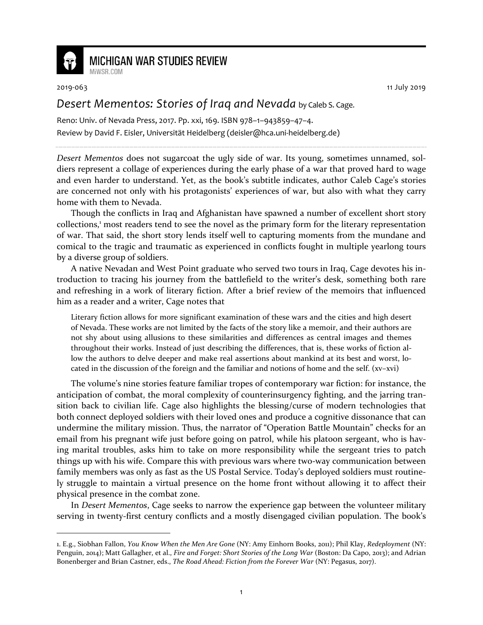

## **MICHIGAN WAR STUDIES REVIEW**

MiWSR COM

<u>.</u>

2019-063 11 July 2019

## *Desert Mementos: Stories of Iraq and Nevada* by Caleb S. Cage.

Reno: Univ. of Nevada Press, 2017. Pp. xxi, 169. ISBN 978–1–943859–47–4. Review by David F. Eisler, Universität Heidelberg (deisler@hca.uni-heidelberg.de)

*Desert Mementos* does not sugarcoat the ugly side of war. Its young, sometimes unnamed, soldiers represent a collage of experiences during the early phase of a war that proved hard to wage and even harder to understand. Yet, as the book's subtitle indicates, author Caleb Cage's stories are concerned not only with his protagonists' experiences of war, but also with what they carry home with them to Nevada.

Though the conflicts in Iraq and Afghanistan have spawned a number of excellent short story collections,<sup>1</sup> most readers tend to see the novel as the primary form for the literary representation of war. That said, the short story lends itself well to capturing moments from the mundane and comical to the tragic and traumatic as experienced in conflicts fought in multiple yearlong tours by a diverse group of soldiers.

A native Nevadan and West Point graduate who served two tours in Iraq, Cage devotes his introduction to tracing his journey from the battlefield to the writer's desk, something both rare and refreshing in a work of literary fiction. After a brief review of the memoirs that influenced him as a reader and a writer, Cage notes that

Literary fiction allows for more significant examination of these wars and the cities and high desert of Nevada. These works are not limited by the facts of the story like a memoir, and their authors are not shy about using allusions to these similarities and differences as central images and themes throughout their works. Instead of just describing the differences, that is, these works of fiction allow the authors to delve deeper and make real assertions about mankind at its best and worst, located in the discussion of the foreign and the familiar and notions of home and the self. (xv–xvi)

The volume's nine stories feature familiar tropes of contemporary war fiction: for instance, the anticipation of combat, the moral complexity of counterinsurgency fighting, and the jarring transition back to civilian life. Cage also highlights the blessing/curse of modern technologies that both connect deployed soldiers with their loved ones and produce a cognitive dissonance that can undermine the military mission. Thus, the narrator of "Operation Battle Mountain" checks for an email from his pregnant wife just before going on patrol, while his platoon sergeant, who is having marital troubles, asks him to take on more responsibility while the sergeant tries to patch things up with his wife. Compare this with previous wars where two-way communication between family members was only as fast as the US Postal Service. Today's deployed soldiers must routinely struggle to maintain a virtual presence on the home front without allowing it to affect their physical presence in the combat zone.

In *Desert Mementos*, Cage seeks to narrow the experience gap between the volunteer military serving in twenty-first century conflicts and a mostly disengaged civilian population. The book's

<sup>1.</sup> E.g., Siobhan Fallon, *You Know When the Men Are Gone* (NY: Amy Einhorn Books, 2011); Phil Klay, *Redeployment* (NY: Penguin, 2014); Matt Gallagher, et al., *Fire and Forget: Short Stories of the Long War* (Boston: Da Capo, 2013); and Adrian Bonenberger and Brian Castner, eds., *The Road Ahead: Fiction from the Forever War* (NY: Pegasus, 2017).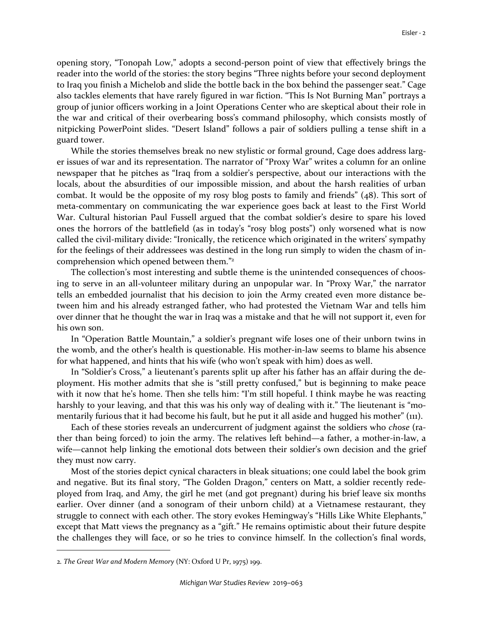opening story, "Tonopah Low," adopts a second-person point of view that effectively brings the reader into the world of the stories: the story begins "Three nights before your second deployment to Iraq you finish a Michelob and slide the bottle back in the box behind the passenger seat." Cage also tackles elements that have rarely figured in war fiction. "This Is Not Burning Man" portrays a group of junior officers working in a Joint Operations Center who are skeptical about their role in the war and critical of their overbearing boss's command philosophy, which consists mostly of nitpicking PowerPoint slides. "Desert Island" follows a pair of soldiers pulling a tense shift in a guard tower.

While the stories themselves break no new stylistic or formal ground, Cage does address larger issues of war and its representation. The narrator of "Proxy War" writes a column for an online newspaper that he pitches as "Iraq from a soldier's perspective, about our interactions with the locals, about the absurdities of our impossible mission, and about the harsh realities of urban combat. It would be the opposite of my rosy blog posts to family and friends" (48). This sort of meta-commentary on communicating the war experience goes back at least to the First World War. Cultural historian Paul Fussell argued that the combat soldier's desire to spare his loved ones the horrors of the battlefield (as in today's "rosy blog posts") only worsened what is now called the civil-military divide: "Ironically, the reticence which originated in the writers' sympathy for the feelings of their addressees was destined in the long run simply to widen the chasm of incomprehension which opened between them."<sup>2</sup>

The collection's most interesting and subtle theme is the unintended consequences of choosing to serve in an all-volunteer military during an unpopular war. In "Proxy War," the narrator tells an embedded journalist that his decision to join the Army created even more distance between him and his already estranged father, who had protested the Vietnam War and tells him over dinner that he thought the war in Iraq was a mistake and that he will not support it, even for his own son.

In "Operation Battle Mountain," a soldier's pregnant wife loses one of their unborn twins in the womb, and the other's health is questionable. His mother-in-law seems to blame his absence for what happened, and hints that his wife (who won't speak with him) does as well.

In "Soldier's Cross," a lieutenant's parents split up after his father has an affair during the deployment. His mother admits that she is "still pretty confused," but is beginning to make peace with it now that he's home. Then she tells him: "I'm still hopeful. I think maybe he was reacting harshly to your leaving, and that this was his only way of dealing with it." The lieutenant is "momentarily furious that it had become his fault, but he put it all aside and hugged his mother" (111).

Each of these stories reveals an undercurrent of judgment against the soldiers who *chose* (rather than being forced) to join the army. The relatives left behind—a father, a mother-in-law, a wife—cannot help linking the emotional dots between their soldier's own decision and the grief they must now carry.

Most of the stories depict cynical characters in bleak situations; one could label the book grim and negative. But its final story, "The Golden Dragon," centers on Matt, a soldier recently redeployed from Iraq, and Amy, the girl he met (and got pregnant) during his brief leave six months earlier. Over dinner (and a sonogram of their unborn child) at a Vietnamese restaurant, they struggle to connect with each other. The story evokes Hemingway's "Hills Like White Elephants," except that Matt views the pregnancy as a "gift." He remains optimistic about their future despite the challenges they will face, or so he tries to convince himself. In the collection's final words,

1

<sup>2</sup>*. The Great War and Modern Memory* (NY: Oxford U Pr, 1975) 199.